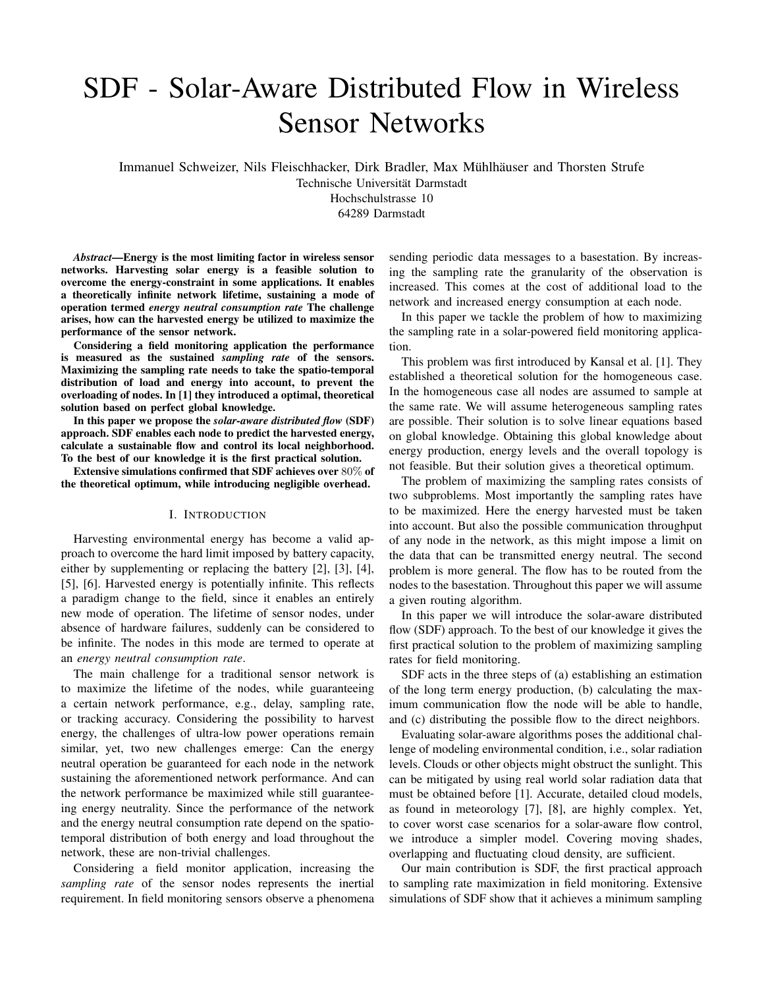# SDF - Solar-Aware Distributed Flow in Wireless Sensor Networks

Immanuel Schweizer, Nils Fleischhacker, Dirk Bradler, Max Mühlhäuser and Thorsten Strufe

Technische Universität Darmstadt

Hochschulstrasse 10

64289 Darmstadt

*Abstract*—Energy is the most limiting factor in wireless sensor networks. Harvesting solar energy is a feasible solution to overcome the energy-constraint in some applications. It enables a theoretically infinite network lifetime, sustaining a mode of operation termed *energy neutral consumption rate* The challenge arises, how can the harvested energy be utilized to maximize the performance of the sensor network.

Considering a field monitoring application the performance is measured as the sustained *sampling rate* of the sensors. Maximizing the sampling rate needs to take the spatio-temporal distribution of load and energy into account, to prevent the overloading of nodes. In [1] they introduced a optimal, theoretical solution based on perfect global knowledge.

In this paper we propose the *solar-aware distributed flow* (SDF) approach. SDF enables each node to predict the harvested energy, calculate a sustainable flow and control its local neighborhood. To the best of our knowledge it is the first practical solution.

Extensive simulations confirmed that SDF achieves over 80% of the theoretical optimum, while introducing negligible overhead.

## I. INTRODUCTION

Harvesting environmental energy has become a valid approach to overcome the hard limit imposed by battery capacity, either by supplementing or replacing the battery [2], [3], [4], [5], [6]. Harvested energy is potentially infinite. This reflects a paradigm change to the field, since it enables an entirely new mode of operation. The lifetime of sensor nodes, under absence of hardware failures, suddenly can be considered to be infinite. The nodes in this mode are termed to operate at an *energy neutral consumption rate*.

The main challenge for a traditional sensor network is to maximize the lifetime of the nodes, while guaranteeing a certain network performance, e.g., delay, sampling rate, or tracking accuracy. Considering the possibility to harvest energy, the challenges of ultra-low power operations remain similar, yet, two new challenges emerge: Can the energy neutral operation be guaranteed for each node in the network sustaining the aforementioned network performance. And can the network performance be maximized while still guaranteeing energy neutrality. Since the performance of the network and the energy neutral consumption rate depend on the spatiotemporal distribution of both energy and load throughout the network, these are non-trivial challenges.

Considering a field monitor application, increasing the *sampling rate* of the sensor nodes represents the inertial requirement. In field monitoring sensors observe a phenomena sending periodic data messages to a basestation. By increasing the sampling rate the granularity of the observation is increased. This comes at the cost of additional load to the network and increased energy consumption at each node.

In this paper we tackle the problem of how to maximizing the sampling rate in a solar-powered field monitoring application.

This problem was first introduced by Kansal et al. [1]. They established a theoretical solution for the homogeneous case. In the homogeneous case all nodes are assumed to sample at the same rate. We will assume heterogeneous sampling rates are possible. Their solution is to solve linear equations based on global knowledge. Obtaining this global knowledge about energy production, energy levels and the overall topology is not feasible. But their solution gives a theoretical optimum.

The problem of maximizing the sampling rates consists of two subproblems. Most importantly the sampling rates have to be maximized. Here the energy harvested must be taken into account. But also the possible communication throughput of any node in the network, as this might impose a limit on the data that can be transmitted energy neutral. The second problem is more general. The flow has to be routed from the nodes to the basestation. Throughout this paper we will assume a given routing algorithm.

In this paper we will introduce the solar-aware distributed flow (SDF) approach. To the best of our knowledge it gives the first practical solution to the problem of maximizing sampling rates for field monitoring.

SDF acts in the three steps of (a) establishing an estimation of the long term energy production, (b) calculating the maximum communication flow the node will be able to handle, and (c) distributing the possible flow to the direct neighbors.

Evaluating solar-aware algorithms poses the additional challenge of modeling environmental condition, i.e., solar radiation levels. Clouds or other objects might obstruct the sunlight. This can be mitigated by using real world solar radiation data that must be obtained before [1]. Accurate, detailed cloud models, as found in meteorology [7], [8], are highly complex. Yet, to cover worst case scenarios for a solar-aware flow control, we introduce a simpler model. Covering moving shades, overlapping and fluctuating cloud density, are sufficient.

Our main contribution is SDF, the first practical approach to sampling rate maximization in field monitoring. Extensive simulations of SDF show that it achieves a minimum sampling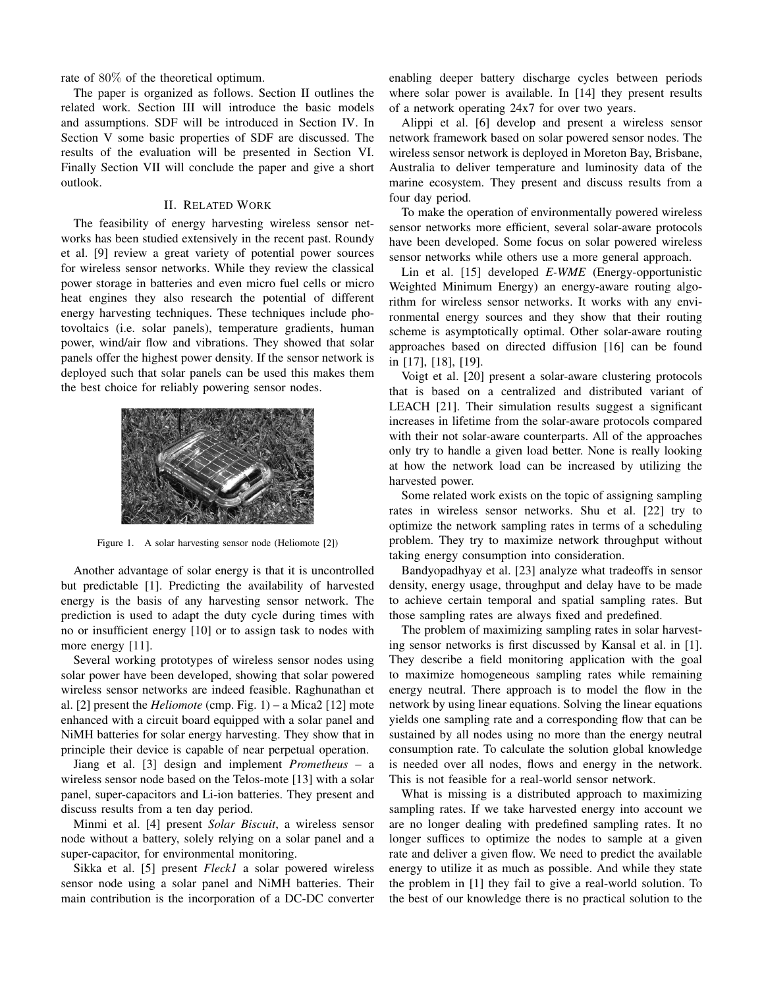rate of 80% of the theoretical optimum.

The paper is organized as follows. Section II outlines the related work. Section III will introduce the basic models and assumptions. SDF will be introduced in Section IV. In Section V some basic properties of SDF are discussed. The results of the evaluation will be presented in Section VI. Finally Section VII will conclude the paper and give a short outlook.

## II. RELATED WORK

The feasibility of energy harvesting wireless sensor networks has been studied extensively in the recent past. Roundy et al. [9] review a great variety of potential power sources for wireless sensor networks. While they review the classical power storage in batteries and even micro fuel cells or micro heat engines they also research the potential of different energy harvesting techniques. These techniques include photovoltaics (i.e. solar panels), temperature gradients, human power, wind/air flow and vibrations. They showed that solar panels offer the highest power density. If the sensor network is deployed such that solar panels can be used this makes them the best choice for reliably powering sensor nodes.



Figure 1. A solar harvesting sensor node (Heliomote [2])

Another advantage of solar energy is that it is uncontrolled but predictable [1]. Predicting the availability of harvested energy is the basis of any harvesting sensor network. The prediction is used to adapt the duty cycle during times with no or insufficient energy [10] or to assign task to nodes with more energy [11].

Several working prototypes of wireless sensor nodes using solar power have been developed, showing that solar powered wireless sensor networks are indeed feasible. Raghunathan et al. [2] present the *Heliomote* (cmp. Fig. 1) – a Mica2 [12] mote enhanced with a circuit board equipped with a solar panel and NiMH batteries for solar energy harvesting. They show that in principle their device is capable of near perpetual operation.

Jiang et al. [3] design and implement *Prometheus* – a wireless sensor node based on the Telos-mote [13] with a solar panel, super-capacitors and Li-ion batteries. They present and discuss results from a ten day period.

Minmi et al. [4] present *Solar Biscuit*, a wireless sensor node without a battery, solely relying on a solar panel and a super-capacitor, for environmental monitoring.

Sikka et al. [5] present *Fleck1* a solar powered wireless sensor node using a solar panel and NiMH batteries. Their main contribution is the incorporation of a DC-DC converter enabling deeper battery discharge cycles between periods where solar power is available. In [14] they present results of a network operating 24x7 for over two years.

Alippi et al. [6] develop and present a wireless sensor network framework based on solar powered sensor nodes. The wireless sensor network is deployed in Moreton Bay, Brisbane, Australia to deliver temperature and luminosity data of the marine ecosystem. They present and discuss results from a four day period.

To make the operation of environmentally powered wireless sensor networks more efficient, several solar-aware protocols have been developed. Some focus on solar powered wireless sensor networks while others use a more general approach.

Lin et al. [15] developed *E-WME* (Energy-opportunistic Weighted Minimum Energy) an energy-aware routing algorithm for wireless sensor networks. It works with any environmental energy sources and they show that their routing scheme is asymptotically optimal. Other solar-aware routing approaches based on directed diffusion [16] can be found in [17], [18], [19].

Voigt et al. [20] present a solar-aware clustering protocols that is based on a centralized and distributed variant of LEACH [21]. Their simulation results suggest a significant increases in lifetime from the solar-aware protocols compared with their not solar-aware counterparts. All of the approaches only try to handle a given load better. None is really looking at how the network load can be increased by utilizing the harvested power.

Some related work exists on the topic of assigning sampling rates in wireless sensor networks. Shu et al. [22] try to optimize the network sampling rates in terms of a scheduling problem. They try to maximize network throughput without taking energy consumption into consideration.

Bandyopadhyay et al. [23] analyze what tradeoffs in sensor density, energy usage, throughput and delay have to be made to achieve certain temporal and spatial sampling rates. But those sampling rates are always fixed and predefined.

The problem of maximizing sampling rates in solar harvesting sensor networks is first discussed by Kansal et al. in [1]. They describe a field monitoring application with the goal to maximize homogeneous sampling rates while remaining energy neutral. There approach is to model the flow in the network by using linear equations. Solving the linear equations yields one sampling rate and a corresponding flow that can be sustained by all nodes using no more than the energy neutral consumption rate. To calculate the solution global knowledge is needed over all nodes, flows and energy in the network. This is not feasible for a real-world sensor network.

What is missing is a distributed approach to maximizing sampling rates. If we take harvested energy into account we are no longer dealing with predefined sampling rates. It no longer suffices to optimize the nodes to sample at a given rate and deliver a given flow. We need to predict the available energy to utilize it as much as possible. And while they state the problem in [1] they fail to give a real-world solution. To the best of our knowledge there is no practical solution to the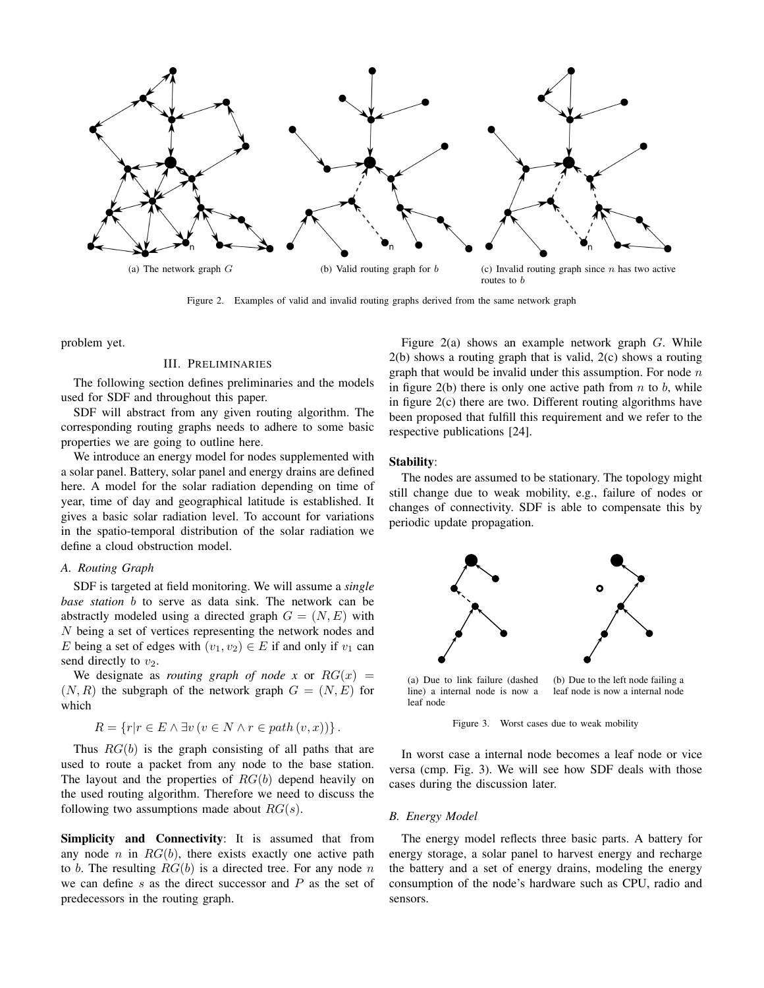

Figure 2. Examples of valid and invalid routing graphs derived from the same network graph

problem yet.

### III. PRELIMINARIES

The following section defines preliminaries and the models used for SDF and throughout this paper.

SDF will abstract from any given routing algorithm. The corresponding routing graphs needs to adhere to some basic properties we are going to outline here.

We introduce an energy model for nodes supplemented with a solar panel. Battery, solar panel and energy drains are defined here. A model for the solar radiation depending on time of year, time of day and geographical latitude is established. It gives a basic solar radiation level. To account for variations in the spatio-temporal distribution of the solar radiation we define a cloud obstruction model.

## *A. Routing Graph*

SDF is targeted at field monitoring. We will assume a *single base station* b to serve as data sink. The network can be abstractly modeled using a directed graph  $G = (N, E)$  with N being a set of vertices representing the network nodes and E being a set of edges with  $(v_1, v_2) \in E$  if and only if  $v_1$  can send directly to  $v_2$ .

We designate as *routing graph of node x* or  $RG(x) =$  $(N, R)$  the subgraph of the network graph  $G = (N, E)$  for which

$$
R = \{r | r \in E \land \exists v (v \in N \land r \in path (v, x))\}.
$$

Thus  $RG(b)$  is the graph consisting of all paths that are used to route a packet from any node to the base station. The layout and the properties of  $RG(b)$  depend heavily on the used routing algorithm. Therefore we need to discuss the following two assumptions made about  $RG(s)$ .

Simplicity and Connectivity: It is assumed that from any node n in  $RG(b)$ , there exists exactly one active path to b. The resulting  $RG(b)$  is a directed tree. For any node n we can define  $s$  as the direct successor and  $P$  as the set of predecessors in the routing graph.

Figure  $2(a)$  shows an example network graph G. While 2(b) shows a routing graph that is valid, 2(c) shows a routing graph that would be invalid under this assumption. For node  $n$ in figure 2(b) there is only one active path from  $n$  to  $b$ , while in figure 2(c) there are two. Different routing algorithms have been proposed that fulfill this requirement and we refer to the respective publications [24].

### Stability:

The nodes are assumed to be stationary. The topology might still change due to weak mobility, e.g., failure of nodes or changes of connectivity. SDF is able to compensate this by periodic update propagation.



Figure 3. Worst cases due to weak mobility

In worst case a internal node becomes a leaf node or vice versa (cmp. Fig. 3). We will see how SDF deals with those cases during the discussion later.

### *B. Energy Model*

The energy model reflects three basic parts. A battery for energy storage, a solar panel to harvest energy and recharge the battery and a set of energy drains, modeling the energy consumption of the node's hardware such as CPU, radio and sensors.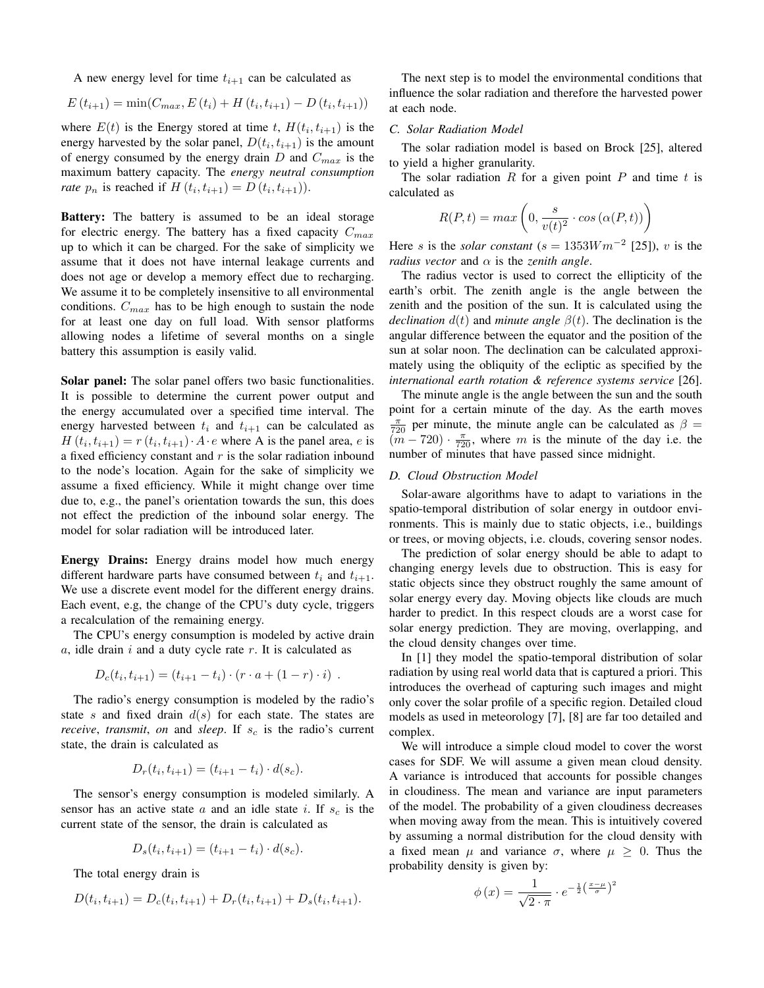A new energy level for time  $t_{i+1}$  can be calculated as

$$
E(t_{i+1}) = \min(C_{max}, E(t_i) + H(t_i, t_{i+1}) - D(t_i, t_{i+1}))
$$

where  $E(t)$  is the Energy stored at time t,  $H(t_i, t_{i+1})$  is the energy harvested by the solar panel,  $D(t_i, t_{i+1})$  is the amount of energy consumed by the energy drain  $D$  and  $C_{max}$  is the maximum battery capacity. The *energy neutral consumption rate*  $p_n$  is reached if  $H(t_i, t_{i+1}) = D(t_i, t_{i+1})$ .

**Battery:** The battery is assumed to be an ideal storage for electric energy. The battery has a fixed capacity  $C_{max}$ up to which it can be charged. For the sake of simplicity we assume that it does not have internal leakage currents and does not age or develop a memory effect due to recharging. We assume it to be completely insensitive to all environmental conditions.  $C_{max}$  has to be high enough to sustain the node for at least one day on full load. With sensor platforms allowing nodes a lifetime of several months on a single battery this assumption is easily valid.

Solar panel: The solar panel offers two basic functionalities. It is possible to determine the current power output and the energy accumulated over a specified time interval. The energy harvested between  $t_i$  and  $t_{i+1}$  can be calculated as  $H(t_i, t_{i+1}) = r(t_i, t_{i+1}) \cdot A \cdot e$  where A is the panel area, e is a fixed efficiency constant and  $r$  is the solar radiation inbound to the node's location. Again for the sake of simplicity we assume a fixed efficiency. While it might change over time due to, e.g., the panel's orientation towards the sun, this does not effect the prediction of the inbound solar energy. The model for solar radiation will be introduced later.

Energy Drains: Energy drains model how much energy different hardware parts have consumed between  $t_i$  and  $t_{i+1}$ . We use a discrete event model for the different energy drains. Each event, e.g, the change of the CPU's duty cycle, triggers a recalculation of the remaining energy.

The CPU's energy consumption is modeled by active drain  $a$ , idle drain  $i$  and a duty cycle rate  $r$ . It is calculated as

$$
D_c(t_i, t_{i+1}) = (t_{i+1} - t_i) \cdot (r \cdot a + (1 - r) \cdot i) .
$$

The radio's energy consumption is modeled by the radio's state s and fixed drain  $d(s)$  for each state. The states are *receive*, *transmit*, *on* and *sleep*. If  $s_c$  is the radio's current state, the drain is calculated as

$$
D_r(t_i, t_{i+1}) = (t_{i+1} - t_i) \cdot d(s_c).
$$

The sensor's energy consumption is modeled similarly. A sensor has an active state a and an idle state i. If  $s_c$  is the current state of the sensor, the drain is calculated as

$$
D_s(t_i, t_{i+1}) = (t_{i+1} - t_i) \cdot d(s_c).
$$

The total energy drain is

$$
D(t_i, t_{i+1}) = D_c(t_i, t_{i+1}) + D_r(t_i, t_{i+1}) + D_s(t_i, t_{i+1}).
$$

The next step is to model the environmental conditions that influence the solar radiation and therefore the harvested power at each node.

## *C. Solar Radiation Model*

The solar radiation model is based on Brock [25], altered to yield a higher granularity.

The solar radiation R for a given point P and time t is calculated as

$$
R(P,t) = max\left(0, \frac{s}{v(t)^2} \cdot cos(\alpha(P,t))\right)
$$

Here *s* is the *solar constant* ( $s = 1353Wm^{-2}$  [25]), *v* is the *radius vector* and  $\alpha$  *is the zenith angle.* 

The radius vector is used to correct the ellipticity of the earth's orbit. The zenith angle is the angle between the zenith and the position of the sun. It is calculated using the *declination*  $d(t)$  and *minute angle*  $\beta(t)$ . The declination is the angular difference between the equator and the position of the sun at solar noon. The declination can be calculated approximately using the obliquity of the ecliptic as specified by the *international earth rotation & reference systems service* [26].

The minute angle is the angle between the sun and the south point for a certain minute of the day. As the earth moves  $\frac{\pi}{720}$  per minute, the minute angle can be calculated as  $\beta =$  $(m - 720) \cdot \frac{\pi}{720}$ , where m is the minute of the day i.e. the number of minutes that have passed since midnight.

#### *D. Cloud Obstruction Model*

Solar-aware algorithms have to adapt to variations in the spatio-temporal distribution of solar energy in outdoor environments. This is mainly due to static objects, i.e., buildings or trees, or moving objects, i.e. clouds, covering sensor nodes.

The prediction of solar energy should be able to adapt to changing energy levels due to obstruction. This is easy for static objects since they obstruct roughly the same amount of solar energy every day. Moving objects like clouds are much harder to predict. In this respect clouds are a worst case for solar energy prediction. They are moving, overlapping, and the cloud density changes over time.

In [1] they model the spatio-temporal distribution of solar radiation by using real world data that is captured a priori. This introduces the overhead of capturing such images and might only cover the solar profile of a specific region. Detailed cloud models as used in meteorology [7], [8] are far too detailed and complex.

We will introduce a simple cloud model to cover the worst cases for SDF. We will assume a given mean cloud density. A variance is introduced that accounts for possible changes in cloudiness. The mean and variance are input parameters of the model. The probability of a given cloudiness decreases when moving away from the mean. This is intuitively covered by assuming a normal distribution for the cloud density with a fixed mean  $\mu$  and variance  $\sigma$ , where  $\mu \geq 0$ . Thus the probability density is given by:

$$
\phi(x) = \frac{1}{\sqrt{2 \cdot \pi}} \cdot e^{-\frac{1}{2} \left(\frac{x-\mu}{\sigma}\right)^2}
$$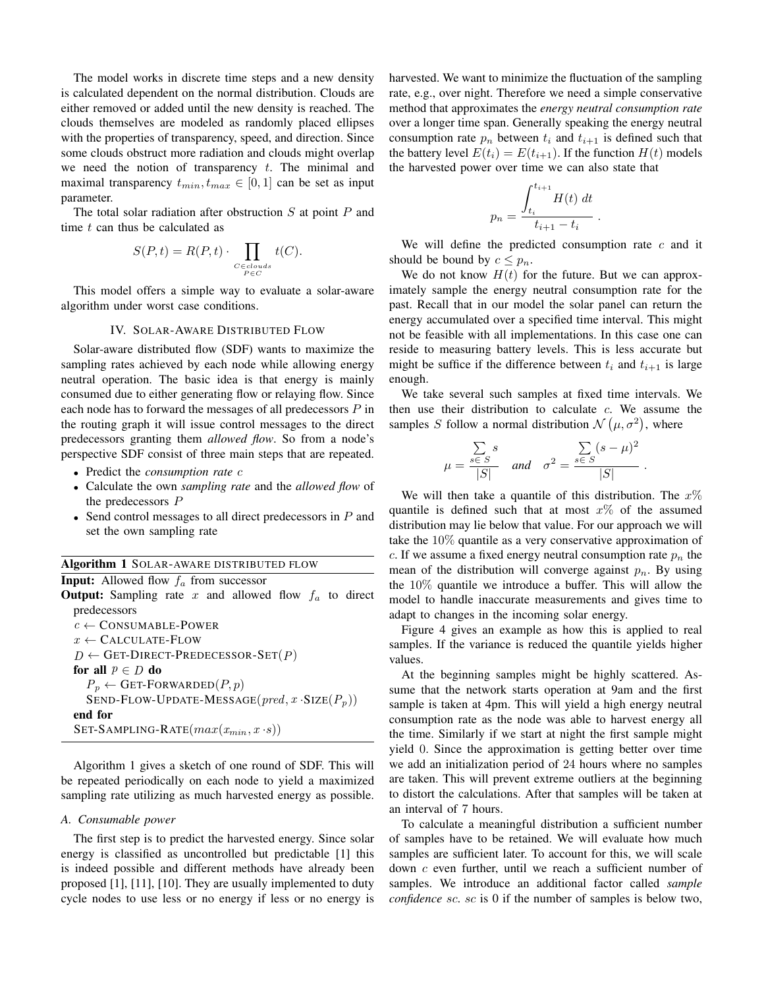The model works in discrete time steps and a new density is calculated dependent on the normal distribution. Clouds are either removed or added until the new density is reached. The clouds themselves are modeled as randomly placed ellipses with the properties of transparency, speed, and direction. Since some clouds obstruct more radiation and clouds might overlap we need the notion of transparency  $t$ . The minimal and maximal transparency  $t_{min}$ ,  $t_{max} \in [0, 1]$  can be set as input parameter.

The total solar radiation after obstruction  $S$  at point  $P$  and time  $t$  can thus be calculated as

$$
S(P,t) = R(P,t) \cdot \prod_{\substack{C \in clouds \\ P \in C}} t(C).
$$

This model offers a simple way to evaluate a solar-aware algorithm under worst case conditions.

### IV. SOLAR-AWARE DISTRIBUTED FLOW

Solar-aware distributed flow (SDF) wants to maximize the sampling rates achieved by each node while allowing energy neutral operation. The basic idea is that energy is mainly consumed due to either generating flow or relaying flow. Since each node has to forward the messages of all predecessors  $P$  in the routing graph it will issue control messages to the direct predecessors granting them *allowed flow*. So from a node's perspective SDF consist of three main steps that are repeated.

- Predict the *consumption rate* c
- Calculate the own *sampling rate* and the *allowed flow* of the predecessors P
- Send control messages to all direct predecessors in  $P$  and set the own sampling rate

|  |  | Algorithm 1 SOLAR-AWARE DISTRIBUTED FLOW |  |  |  |  |  |  |
|--|--|------------------------------------------|--|--|--|--|--|--|
|--|--|------------------------------------------|--|--|--|--|--|--|

| <b>Input:</b> Allowed flow $f_a$ from successor                 |
|-----------------------------------------------------------------|
| <b>Output:</b> Sampling rate x and allowed flow $f_a$ to direct |
| predecessors                                                    |
| $c \leftarrow \text{CONSUMABLE-POWER}$                          |
| $x \leftarrow$ CALCULATE-FLOW                                   |
| $D \leftarrow$ GET-DIRECT-PREDECESSOR-SET $(P)$                 |
| for all $p \in D$ do                                            |
| $P_p \leftarrow$ GET-FORWARDED $(P, p)$                         |
| SEND-FLOW-UPDATE-MESSAGE( $pred, x \cdot SIZE(P_n)$ )           |
| end for                                                         |
| SET-SAMPLING-RATE $(max(x_{min}, x \cdot s))$                   |
|                                                                 |

Algorithm 1 gives a sketch of one round of SDF. This will be repeated periodically on each node to yield a maximized sampling rate utilizing as much harvested energy as possible.

#### *A. Consumable power*

The first step is to predict the harvested energy. Since solar energy is classified as uncontrolled but predictable [1] this is indeed possible and different methods have already been proposed [1], [11], [10]. They are usually implemented to duty cycle nodes to use less or no energy if less or no energy is harvested. We want to minimize the fluctuation of the sampling rate, e.g., over night. Therefore we need a simple conservative method that approximates the *energy neutral consumption rate* over a longer time span. Generally speaking the energy neutral consumption rate  $p_n$  between  $t_i$  and  $t_{i+1}$  is defined such that the battery level  $E(t_i) = E(t_{i+1})$ . If the function  $H(t)$  models the harvested power over time we can also state that

$$
p_n = \frac{\int_{t_i}^{t_{i+1}} H(t) dt}{t_{i+1} - t_i}.
$$

We will define the predicted consumption rate  $c$  and it should be bound by  $c \leq p_n$ .

We do not know  $H(t)$  for the future. But we can approximately sample the energy neutral consumption rate for the past. Recall that in our model the solar panel can return the energy accumulated over a specified time interval. This might not be feasible with all implementations. In this case one can reside to measuring battery levels. This is less accurate but might be suffice if the difference between  $t_i$  and  $t_{i+1}$  is large enough.

We take several such samples at fixed time intervals. We then use their distribution to calculate  $c$ . We assume the samples S follow a normal distribution  $\mathcal{N}(\mu, \sigma^2)$ , where

$$
\mu = \frac{\sum_{s \in S} s}{|S|} \quad \text{and} \quad \sigma^2 = \frac{\sum_{s \in S} (s - \mu)^2}{|S|}.
$$

We will then take a quantile of this distribution. The  $x\%$ quantile is defined such that at most  $x\%$  of the assumed distribution may lie below that value. For our approach we will take the 10% quantile as a very conservative approximation of c. If we assume a fixed energy neutral consumption rate  $p_n$  the mean of the distribution will converge against  $p_n$ . By using the 10% quantile we introduce a buffer. This will allow the model to handle inaccurate measurements and gives time to adapt to changes in the incoming solar energy.

Figure 4 gives an example as how this is applied to real samples. If the variance is reduced the quantile yields higher values.

At the beginning samples might be highly scattered. Assume that the network starts operation at 9am and the first sample is taken at 4pm. This will yield a high energy neutral consumption rate as the node was able to harvest energy all the time. Similarly if we start at night the first sample might yield 0. Since the approximation is getting better over time we add an initialization period of 24 hours where no samples are taken. This will prevent extreme outliers at the beginning to distort the calculations. After that samples will be taken at an interval of 7 hours.

To calculate a meaningful distribution a sufficient number of samples have to be retained. We will evaluate how much samples are sufficient later. To account for this, we will scale down c even further, until we reach a sufficient number of samples. We introduce an additional factor called *sample confidence* sc. sc is 0 if the number of samples is below two,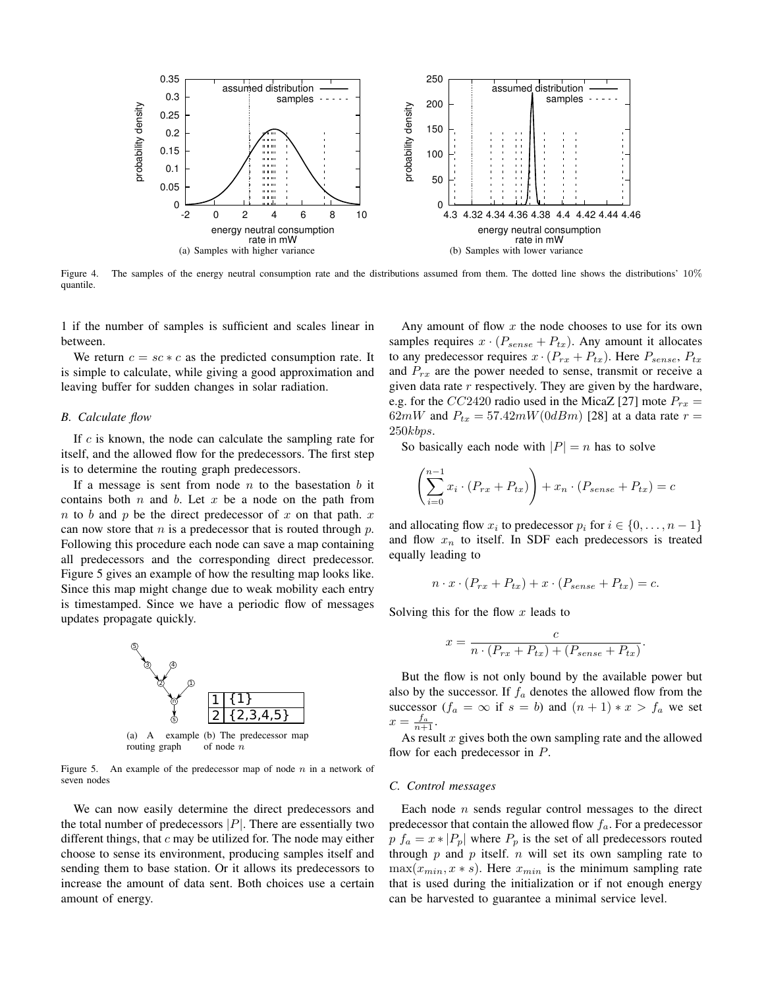

Figure 4. The samples of the energy neutral consumption rate and the distributions assumed from them. The dotted line shows the distributions' 10% quantile.

1 if the number of samples is sufficient and scales linear in between.

We return  $c = sc * c$  as the predicted consumption rate. It is simple to calculate, while giving a good approximation and leaving buffer for sudden changes in solar radiation.

## *B. Calculate flow*

If  $c$  is known, the node can calculate the sampling rate for itself, and the allowed flow for the predecessors. The first step is to determine the routing graph predecessors.

If a message is sent from node  $n$  to the basestation  $b$  it contains both  $n$  and  $b$ . Let  $x$  be a node on the path from  $n$  to  $b$  and  $p$  be the direct predecessor of  $x$  on that path.  $x$ can now store that  $n$  is a predecessor that is routed through  $p$ . Following this procedure each node can save a map containing all predecessors and the corresponding direct predecessor. Figure 5 gives an example of how the resulting map looks like. Since this map might change due to weak mobility each entry is timestamped. Since we have a periodic flow of messages updates propagate quickly.



Figure 5. An example of the predecessor map of node  $n$  in a network of seven nodes

We can now easily determine the direct predecessors and the total number of predecessors  $|P|$ . There are essentially two different things, that  $c$  may be utilized for. The node may either choose to sense its environment, producing samples itself and sending them to base station. Or it allows its predecessors to increase the amount of data sent. Both choices use a certain amount of energy.

Any amount of flow  $x$  the node chooses to use for its own samples requires  $x \cdot (P_{sense} + P_{tx})$ . Any amount it allocates to any predecessor requires  $x \cdot (P_{rx} + P_{tx})$ . Here  $P_{sense}$ ,  $P_{tx}$ and  $P_{rx}$  are the power needed to sense, transmit or receive a given data rate  $r$  respectively. They are given by the hardware, e.g. for the CC2420 radio used in the MicaZ [27] mote  $P_{rx}$  = 62mW and  $P_{tx} = 57.42mW(0dBm)$  [28] at a data rate  $r =$ 250kbps.

So basically each node with  $|P| = n$  has to solve

$$
\left(\sum_{i=0}^{n-1} x_i \cdot (P_{rx} + P_{tx})\right) + x_n \cdot (P_{sense} + P_{tx}) = c
$$

and allocating flow  $x_i$  to predecessor  $p_i$  for  $i \in \{0, \ldots, n-1\}$ and flow  $x_n$  to itself. In SDF each predecessors is treated equally leading to

$$
n \cdot x \cdot (P_{rx} + P_{tx}) + x \cdot (P_{sense} + P_{tx}) = c.
$$

Solving this for the flow  $x$  leads to

$$
x = \frac{c}{n \cdot (P_{rx} + P_{tx}) + (P_{sense} + P_{tx})}.
$$

But the flow is not only bound by the available power but also by the successor. If  $f_a$  denotes the allowed flow from the successor  $(f_a = \infty$  if  $s = b$ ) and  $(n + 1) * x > f_a$  we set  $x=\frac{f_a}{n+1}.$ 

As result  $x$  gives both the own sampling rate and the allowed flow for each predecessor in P.

#### *C. Control messages*

Each node  $n$  sends regular control messages to the direct predecessor that contain the allowed flow  $f_a$ . For a predecessor  $p f_a = x * |P_p|$  where  $P_p$  is the set of all predecessors routed through  $p$  and  $p$  itself.  $n$  will set its own sampling rate to  $\max(x_{min}, x * s)$ . Here  $x_{min}$  is the minimum sampling rate that is used during the initialization or if not enough energy can be harvested to guarantee a minimal service level.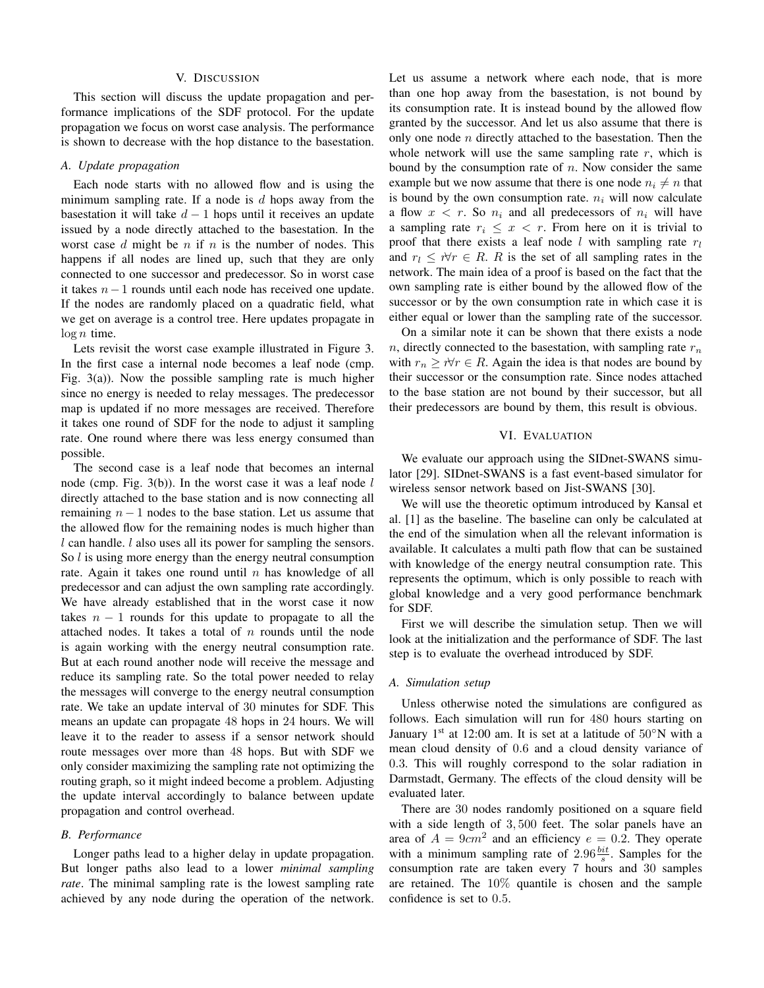#### V. DISCUSSION

This section will discuss the update propagation and performance implications of the SDF protocol. For the update propagation we focus on worst case analysis. The performance is shown to decrease with the hop distance to the basestation.

## *A. Update propagation*

Each node starts with no allowed flow and is using the minimum sampling rate. If a node is  $d$  hops away from the basestation it will take  $d-1$  hops until it receives an update issued by a node directly attached to the basestation. In the worst case  $d$  might be  $n$  if  $n$  is the number of nodes. This happens if all nodes are lined up, such that they are only connected to one successor and predecessor. So in worst case it takes n−1 rounds until each node has received one update. If the nodes are randomly placed on a quadratic field, what we get on average is a control tree. Here updates propagate in  $\log n$  time.

Lets revisit the worst case example illustrated in Figure 3. In the first case a internal node becomes a leaf node (cmp. Fig. 3(a)). Now the possible sampling rate is much higher since no energy is needed to relay messages. The predecessor map is updated if no more messages are received. Therefore it takes one round of SDF for the node to adjust it sampling rate. One round where there was less energy consumed than possible.

The second case is a leaf node that becomes an internal node (cmp. Fig.  $3(b)$ ). In the worst case it was a leaf node l directly attached to the base station and is now connecting all remaining  $n - 1$  nodes to the base station. Let us assume that the allowed flow for the remaining nodes is much higher than l can handle. *l* also uses all its power for sampling the sensors. So *l* is using more energy than the energy neutral consumption rate. Again it takes one round until  $n$  has knowledge of all predecessor and can adjust the own sampling rate accordingly. We have already established that in the worst case it now takes  $n - 1$  rounds for this update to propagate to all the attached nodes. It takes a total of  $n$  rounds until the node is again working with the energy neutral consumption rate. But at each round another node will receive the message and reduce its sampling rate. So the total power needed to relay the messages will converge to the energy neutral consumption rate. We take an update interval of 30 minutes for SDF. This means an update can propagate 48 hops in 24 hours. We will leave it to the reader to assess if a sensor network should route messages over more than 48 hops. But with SDF we only consider maximizing the sampling rate not optimizing the routing graph, so it might indeed become a problem. Adjusting the update interval accordingly to balance between update propagation and control overhead.

#### *B. Performance*

Longer paths lead to a higher delay in update propagation. But longer paths also lead to a lower *minimal sampling rate*. The minimal sampling rate is the lowest sampling rate achieved by any node during the operation of the network. Let us assume a network where each node, that is more than one hop away from the basestation, is not bound by its consumption rate. It is instead bound by the allowed flow granted by the successor. And let us also assume that there is only one node  $n$  directly attached to the basestation. Then the whole network will use the same sampling rate  $r$ , which is bound by the consumption rate of  $n$ . Now consider the same example but we now assume that there is one node  $n_i \neq n$  that is bound by the own consumption rate.  $n_i$  will now calculate a flow  $x < r$ . So  $n_i$  and all predecessors of  $n_i$  will have a sampling rate  $r_i \leq x < r$ . From here on it is trivial to proof that there exists a leaf node l with sampling rate  $r_l$ and  $r_l \leq r \forall r \in R$ . R is the set of all sampling rates in the network. The main idea of a proof is based on the fact that the own sampling rate is either bound by the allowed flow of the successor or by the own consumption rate in which case it is either equal or lower than the sampling rate of the successor.

On a similar note it can be shown that there exists a node  $n$ , directly connected to the basestation, with sampling rate  $r_n$ with  $r_n \geq \forall r \in R$ . Again the idea is that nodes are bound by their successor or the consumption rate. Since nodes attached to the base station are not bound by their successor, but all their predecessors are bound by them, this result is obvious.

#### VI. EVALUATION

We evaluate our approach using the SIDnet-SWANS simulator [29]. SIDnet-SWANS is a fast event-based simulator for wireless sensor network based on Jist-SWANS [30].

We will use the theoretic optimum introduced by Kansal et al. [1] as the baseline. The baseline can only be calculated at the end of the simulation when all the relevant information is available. It calculates a multi path flow that can be sustained with knowledge of the energy neutral consumption rate. This represents the optimum, which is only possible to reach with global knowledge and a very good performance benchmark for SDF.

First we will describe the simulation setup. Then we will look at the initialization and the performance of SDF. The last step is to evaluate the overhead introduced by SDF.

#### *A. Simulation setup*

Unless otherwise noted the simulations are configured as follows. Each simulation will run for 480 hours starting on January 1<sup>st</sup> at 12:00 am. It is set at a latitude of  $50°N$  with a mean cloud density of 0.6 and a cloud density variance of 0.3. This will roughly correspond to the solar radiation in Darmstadt, Germany. The effects of the cloud density will be evaluated later.

There are 30 nodes randomly positioned on a square field with a side length of 3, 500 feet. The solar panels have an area of  $A = 9cm^2$  and an efficiency  $e = 0.2$ . They operate with a minimum sampling rate of  $2.96 \frac{bit}{s}$ . Samples for the consumption rate are taken every 7 hours and 30 samples are retained. The 10% quantile is chosen and the sample confidence is set to 0.5.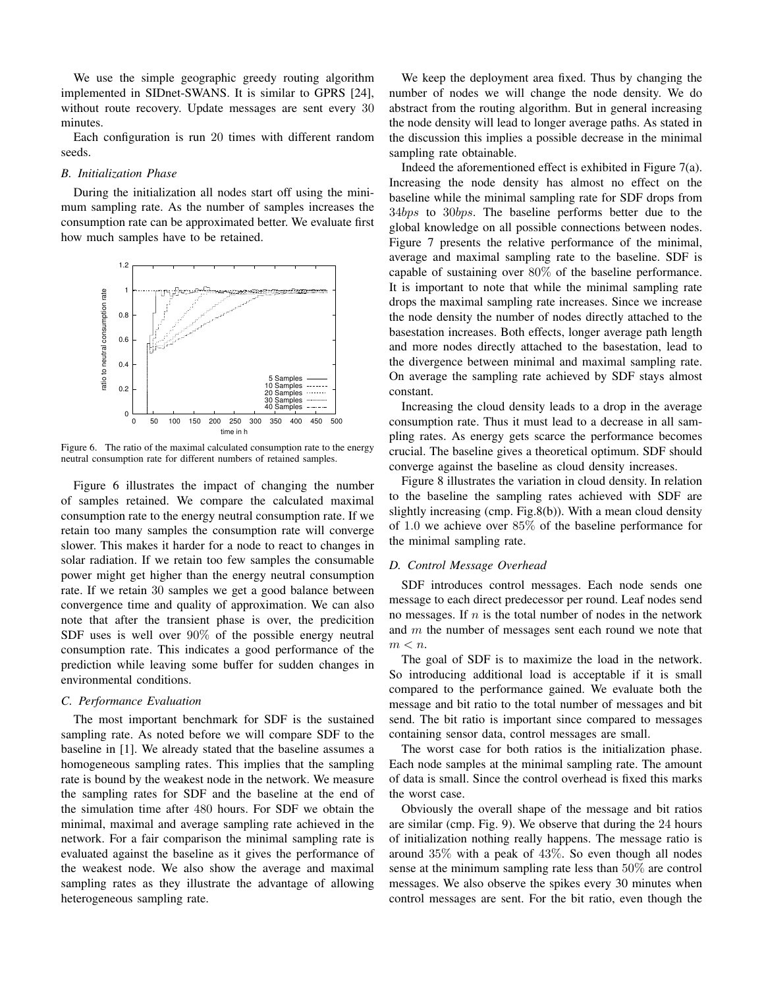We use the simple geographic greedy routing algorithm implemented in SIDnet-SWANS. It is similar to GPRS [24], without route recovery. Update messages are sent every 30 minutes.

Each configuration is run 20 times with different random seeds.

#### *B. Initialization Phase*

During the initialization all nodes start off using the minimum sampling rate. As the number of samples increases the consumption rate can be approximated better. We evaluate first how much samples have to be retained.



Figure 6. The ratio of the maximal calculated consumption rate to the energy neutral consumption rate for different numbers of retained samples.

Figure 6 illustrates the impact of changing the number of samples retained. We compare the calculated maximal consumption rate to the energy neutral consumption rate. If we retain too many samples the consumption rate will converge slower. This makes it harder for a node to react to changes in solar radiation. If we retain too few samples the consumable power might get higher than the energy neutral consumption rate. If we retain 30 samples we get a good balance between convergence time and quality of approximation. We can also note that after the transient phase is over, the predicition SDF uses is well over 90% of the possible energy neutral consumption rate. This indicates a good performance of the prediction while leaving some buffer for sudden changes in environmental conditions.

## *C. Performance Evaluation*

The most important benchmark for SDF is the sustained sampling rate. As noted before we will compare SDF to the baseline in [1]. We already stated that the baseline assumes a homogeneous sampling rates. This implies that the sampling rate is bound by the weakest node in the network. We measure the sampling rates for SDF and the baseline at the end of the simulation time after 480 hours. For SDF we obtain the minimal, maximal and average sampling rate achieved in the network. For a fair comparison the minimal sampling rate is evaluated against the baseline as it gives the performance of the weakest node. We also show the average and maximal sampling rates as they illustrate the advantage of allowing heterogeneous sampling rate.

We keep the deployment area fixed. Thus by changing the number of nodes we will change the node density. We do abstract from the routing algorithm. But in general increasing the node density will lead to longer average paths. As stated in the discussion this implies a possible decrease in the minimal sampling rate obtainable.

Indeed the aforementioned effect is exhibited in Figure 7(a). Increasing the node density has almost no effect on the baseline while the minimal sampling rate for SDF drops from 34bps to 30bps. The baseline performs better due to the global knowledge on all possible connections between nodes. Figure 7 presents the relative performance of the minimal, average and maximal sampling rate to the baseline. SDF is capable of sustaining over 80% of the baseline performance. It is important to note that while the minimal sampling rate drops the maximal sampling rate increases. Since we increase the node density the number of nodes directly attached to the basestation increases. Both effects, longer average path length and more nodes directly attached to the basestation, lead to the divergence between minimal and maximal sampling rate. On average the sampling rate achieved by SDF stays almost constant.

Increasing the cloud density leads to a drop in the average consumption rate. Thus it must lead to a decrease in all sampling rates. As energy gets scarce the performance becomes crucial. The baseline gives a theoretical optimum. SDF should converge against the baseline as cloud density increases.

Figure 8 illustrates the variation in cloud density. In relation to the baseline the sampling rates achieved with SDF are slightly increasing (cmp. Fig.8(b)). With a mean cloud density of 1.0 we achieve over 85% of the baseline performance for the minimal sampling rate.

#### *D. Control Message Overhead*

SDF introduces control messages. Each node sends one message to each direct predecessor per round. Leaf nodes send no messages. If  $n$  is the total number of nodes in the network and m the number of messages sent each round we note that  $m < n$ .

The goal of SDF is to maximize the load in the network. So introducing additional load is acceptable if it is small compared to the performance gained. We evaluate both the message and bit ratio to the total number of messages and bit send. The bit ratio is important since compared to messages containing sensor data, control messages are small.

The worst case for both ratios is the initialization phase. Each node samples at the minimal sampling rate. The amount of data is small. Since the control overhead is fixed this marks the worst case.

Obviously the overall shape of the message and bit ratios are similar (cmp. Fig. 9). We observe that during the 24 hours of initialization nothing really happens. The message ratio is around 35% with a peak of 43%. So even though all nodes sense at the minimum sampling rate less than 50% are control messages. We also observe the spikes every 30 minutes when control messages are sent. For the bit ratio, even though the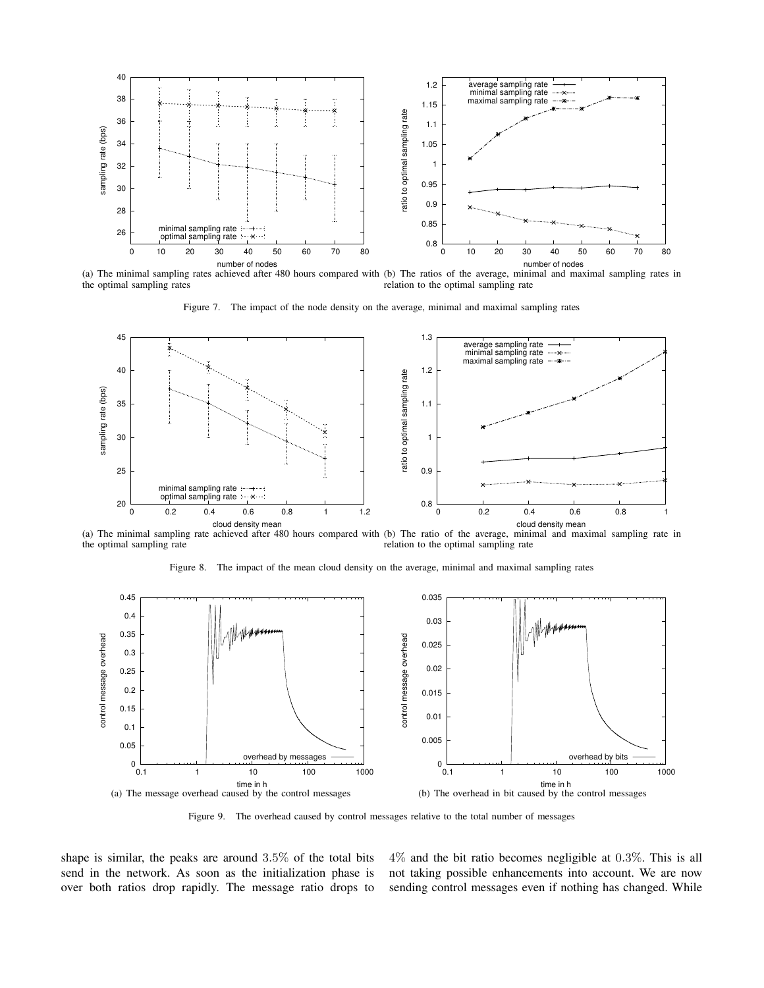

(a) The minimal sampling rates achieved after 480 hours compared with (b) The ratios of the average, minimal and maximal sampling rates in the optimal sampling rates relation to the optimal sampling rate

Figure 7. The impact of the node density on the average, minimal and maximal sampling rates



(a) The minimal sampling rate achieved after 480 hours compared with (b) The ratio of the average, minimal and maximal sampling rate in the optimal sampling rate relation to the optimal sampling rate





Figure 9. The overhead caused by control messages relative to the total number of messages

shape is similar, the peaks are around 3.5% of the total bits send in the network. As soon as the initialization phase is over both ratios drop rapidly. The message ratio drops to 4% and the bit ratio becomes negligible at 0.3%. This is all not taking possible enhancements into account. We are now sending control messages even if nothing has changed. While